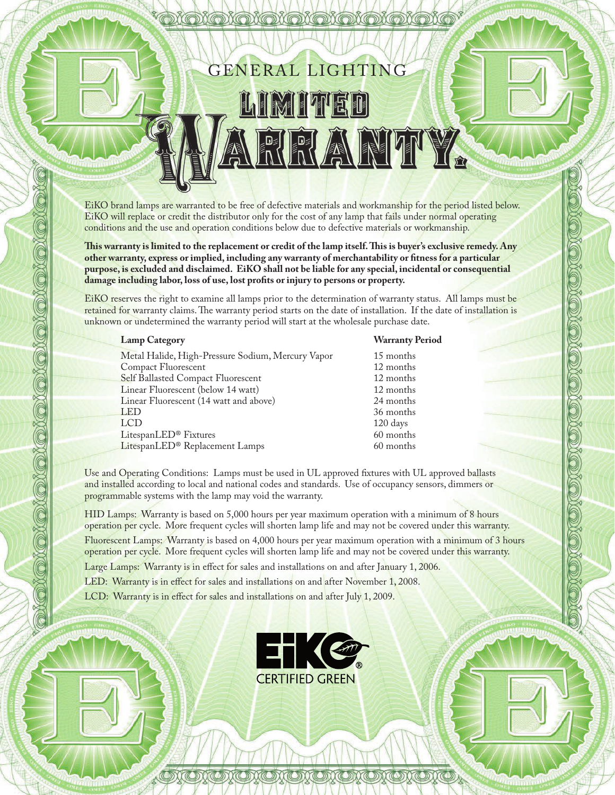GENERAL LIGHTING

## LIMITED ITY.

EiKO brand lamps are warranted to be free of defective materials and workmanship for the period listed below. EiKO will replace or credit the distributor only for the cost of any lamp that fails under normal operating conditions and the use and operation conditions below due to defective materials or workmanship.

This warranty is limited to the replacement or credit of the lamp itself. This is buyer's exclusive remedy. Any **other warranty, express or implied, including any warranty of merchantability or tness for a particular purpose, is excluded and disclaimed. EiKO shall not be liable for any special, incidental or consequential damage including labor, loss of use, lost prots or injury to persons or property.**

EiKO reserves the right to examine all lamps prior to the determination of warranty status. All lamps must be retained for warranty claims. The warranty period starts on the date of installation. If the date of installation is unknown or undetermined the warranty period will start at the wholesale purchase date.

Metal Halide, High-Pressure Sodium, Mercury Vapor 15 months

 Compact Fluorescent 12 months Self Ballasted Compact Fluorescent 12 months<br>
Linear Fluorescent (below 14 watt) 12 months Linear Fluorescent (below 14 watt) 12 months<br>
Linear Fluorescent (14 watt and above) 24 months Linear Fluorescent (14 watt and above) 24 months LED 36 months LCD 120 days LitespanLED® Fixtures 60 months<br>LitespanLED® Replacement Lamps 60 months 60 months LitespanLED® Replacement Lamps

### **Lamp Category Warranty Period**

Use and Operating Conditions: Lamps must be used in UL approved fixtures with UL approved ballasts and installed according to local and national codes and standards. Use of occupancy sensors, dimmers or programmable systems with the lamp may void the warranty.

HID Lamps: Warranty is based on 5,000 hours per year maximum operation with a minimum of 8 hours operation per cycle. More frequent cycles will shorten lamp life and may not be covered under this warranty. Fluorescent Lamps: Warranty is based on 4,000 hours per year maximum operation with a minimum of 3 hours

operation per cycle. More frequent cycles will shorten lamp life and may not be covered under this warranty. Large Lamps: Warranty is in effect for sales and installations on and after January 1, 2006.

LED: Warranty is in effect for sales and installations on and after November 1, 2008.

LCD: Warranty is in effect for sales and installations on and after July 1, 2009.